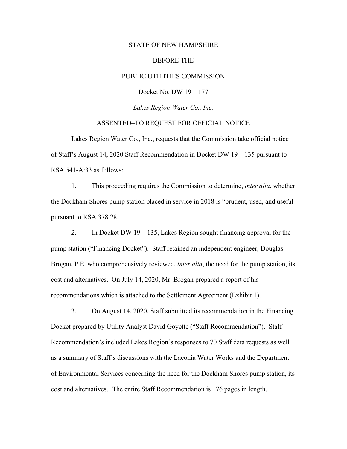### STATE OF NEW HAMPSHIRE

### BEFORE THE

## PUBLIC UTILITIES COMMISSION

Docket No. DW 19 – 177

*Lakes Region Water Co., Inc.* 

## ASSENTED–TO REQUEST FOR OFFICIAL NOTICE

 Lakes Region Water Co., Inc., requests that the Commission take official notice of Staff's August 14, 2020 Staff Recommendation in Docket DW 19 – 135 pursuant to RSA 541-A:33 as follows:

 1. This proceeding requires the Commission to determine, *inter alia*, whether the Dockham Shores pump station placed in service in 2018 is "prudent, used, and useful pursuant to RSA 378:28.

2. In Docket DW  $19 - 135$ , Lakes Region sought financing approval for the pump station ("Financing Docket"). Staff retained an independent engineer, Douglas Brogan, P.E. who comprehensively reviewed, *inter alia*, the need for the pump station, its cost and alternatives. On July 14, 2020, Mr. Brogan prepared a report of his recommendations which is attached to the Settlement Agreement (Exhibit 1).

 3. On August 14, 2020, Staff submitted its recommendation in the Financing Docket prepared by Utility Analyst David Goyette ("Staff Recommendation"). Staff Recommendation's included Lakes Region's responses to 70 Staff data requests as well as a summary of Staff's discussions with the Laconia Water Works and the Department of Environmental Services concerning the need for the Dockham Shores pump station, its cost and alternatives. The entire Staff Recommendation is 176 pages in length.